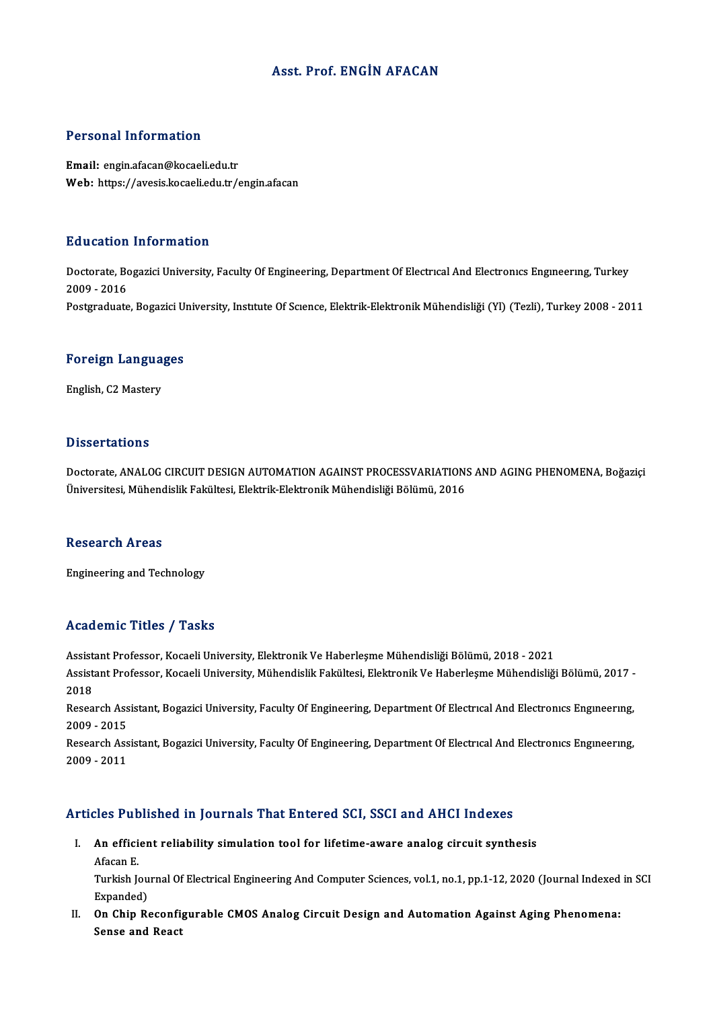#### Asst. Prof. ENGİN AFACAN

#### Personal Information

Email: engin.afacan@kocaeli.edu.tr Web: https://avesis.kocaeli.edu.tr/engin.afacan

#### Education Information

**Education Information**<br>Doctorate, Bogazici University, Faculty Of Engineering, Department Of Electrıcal And Electronıcs Engıneerıng, Turkey<br>2009 - 2016 2009 - 2016<br>2009 - 2016<br>Postaraduata 2009 - 2016<br>Postgraduate, Bogazici University, Institute Of Science, Elektrik-Elektronik Mühendisliği (Yl) (Tezli), Turkey 2008 - 2011

# rosigraduate, bogazici ol<br>Foreign Languages F<mark>oreign Langua</mark><br>English, C2 Mastery

English, C2 Mastery<br>Dissertations

Dissertations<br>Doctorate, ANALOG CIRCUIT DESIGN AUTOMATION AGAINST PROCESSVARIATIONS AND AGING PHENOMENA, Boğaziçi<br>Üniversitesi Mühandislik Fakültesi, Elektrik Flektronik Mühandisliği Pölümü, 2016 D 19991 tatrome<br>Doctorate, ANALOG CIRCUIT DESIGN AUTOMATION AGAINST PROCESSVARIATION:<br>Üniversitesi, Mühendislik Fakültesi, Elektrik-Elektronik Mühendisliği Bölümü, 2016 Üniversitesi, Mühendislik Fakültesi, Elektrik-Elektronik Mühendisliği Bölümü, 2016<br>Research Areas

Engineering and Technology

#### Academic Titles / Tasks

AssistantProfessor,KocaeliUniversity,ElektronikVeHaberleşmeMühendisliğiBölümü,2018 -2021 Assistant Professor, Kocaeli University, Elektronik Ve Haberleşme Mühendisliği Bölümü, 2018 - 2021<br>Assistant Professor, Kocaeli University, Mühendislik Fakültesi, Elektronik Ve Haberleşme Mühendisliği Bölümü, 2017 -<br>2018 Assist<br>Assist<br>2018<br>Peses Assistant Professor, Kocaeli University, Mühendislik Fakültesi, Elektronik Ve Haberleşme Mühendisliği Bölümü, 2017 -<br>2018<br>Research Assistant, Bogazici University, Faculty Of Engineering, Department Of Electrıcal And Electr

2018<br>Research Ass<br>2009 - 2015<br>Besearch Ass Research Assistant, Bogazici University, Faculty Of Engineering, Department Of Electrical And Electronics Engineering,<br>2009 - 2015<br>Research Assistant, Bogazici University, Faculty Of Engineering, Department Of Electrical A

2009 - 2015<br>Research Ass<br>2009 - 2011

#### Articles Published in Journals That Entered SCI, SSCI and AHCI Indexes

rticles Published in Journals That Entered SCI, SSCI and AHCI Indexes<br>I. An efficient reliability simulation tool for lifetime-aware analog circuit synthesis<br>Afesan F An effici<br>An effici<br>Turkish k An efficient reliability simulation tool for lifetime-aware analog circuit synthesis<br>Afacan E.<br>Turkish Journal Of Electrical Engineering And Computer Sciences, vol.1, no.1, pp.1-12, 2020 (Journal Indexed in SCI<br>Eynanded)

Afacan E.<br>Turkish Jou<br>Expanded)<br>On Chin Be Turkish Journal Of Electrical Engineering And Computer Sciences, vol.1, no.1, pp.1-12, 2020 (Journal Indexed<br>Expanded)<br>II. On Chip Reconfigurable CMOS Analog Circuit Design and Automation Against Aging Phenomena:<br>Sonse and

Expanded)<br>II. On Chip Reconfigurable CMOS Analog Circuit Design and Automation Against Aging Phenomena:<br>Sense and React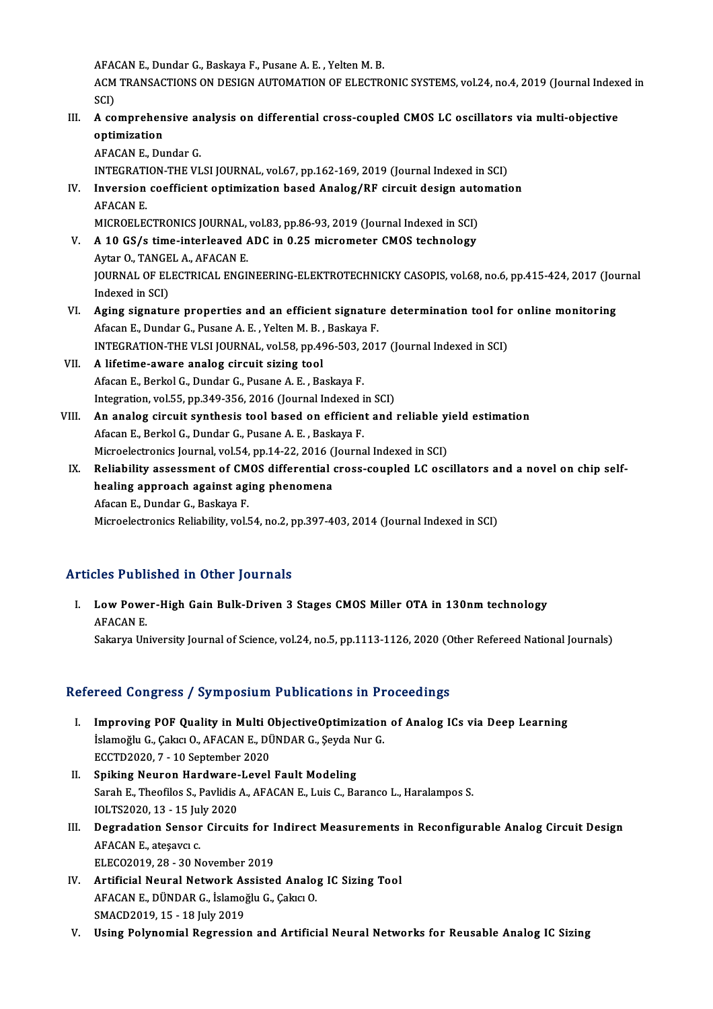AFACANE.,DundarG.,Baskaya F.,PusaneA.E. ,YeltenM.B.

AFACAN E., Dundar G., Baskaya F., Pusane A. E. , Yelten M. B.<br>ACM TRANSACTIONS ON DESIGN AUTOMATION OF ELECTRONIC SYSTEMS, vol.24, no.4, 2019 (Journal Indexed in AFA<br>ACM<br>SCI)<br>A. 33 ACM TRANSACTIONS ON DESIGN AUTOMATION OF ELECTRONIC SYSTEMS, vol.24, no.4, 2019 (Journal Index SCI)<br>SCI)<br>III. A comprehensive analysis on differential cross-coupled CMOS LC oscillators via multi-objective<br>ontimination

# SCI)<br>A comprehensive an<br>optimization<br>AFACAN E. Dundar G. A comprehensive ar<br>optimization<br>AFACAN E., Dundar G.<br>INTECRATION THE VI optimization<br>AFACAN E., Dundar G.<br>INTEGRATION-THE VLSI JOURNAL, vol.67, pp.162-169, 2019 (Journal Indexed in SCI)<br>Inversion seefficient entimization based Anales (BE sircuit design automatic

IV. Inversion coefficient optimization based Analog/RF circuit design automation **INTEGRATI<br>Inversion<br>AFACAN E.<br>MICROFI F** Inversion coefficient optimization based Analog/RF circuit design auto<br>AFACAN E.<br>MICROELECTRONICS JOURNAL, vol.83, pp.86-93, 2019 (Journal Indexed in SCI)<br>A 10 CS/s time interleaved ADC in 0.25 misremater CMOS technology

- V. A 10 GS/s time-interleaved ADC in 0.25 micrometer CMOS technology<br>Aytar O., TANGEL A., AFACAN E. MICROELECTRONICS JOURNAL,<br>A 10 GS/s time-interleaved *l*<br>Aytar O., TANGEL A., AFACAN E.<br>JOURNAL OF ELECTRICAL ENCE A 10 GS/s time-interleaved ADC in 0.25 micrometer CMOS technology<br>Aytar O., TANGEL A., AFACAN E.<br>JOURNAL OF ELECTRICAL ENGINEERING-ELEKTROTECHNICKY CASOPIS, vol.68, no.6, pp.415-424, 2017 (Journal<br>Indeved in SCD. Aytar O., TANGE<br>JOURNAL OF EL<br>Indexed in SCI)<br>Aging signatur JOURNAL OF ELECTRICAL ENGINEERING-ELEKTROTECHNICKY CASOPIS, vol.68, no.6, pp.415-424, 2017 (Journal)<br>Indexed in SCI)<br>VI. Aging signature properties and an efficient signature determination tool for online monitoring<br>Afgan
- Indexed in SCI)<br><mark>Aging signature properties and an efficient signatur</mark><br>Afacan E., Dundar G., Pusane A. E. , Yelten M. B. , Baskaya F.<br>INTECRATION THE VI SI JOURNAL, Vol 58, pp.406,503,201 Aging signature properties and an efficient signature determination tool for<br>Afacan E., Dundar G., Pusane A. E. , Yelten M. B. , Baskaya F.<br>INTEGRATION-THE VLSI JOURNAL, vol.58, pp.496-503, 2017 (Journal Indexed in SCI)<br>A Afacan E., Dundar G., Pusane A. E. , Yelten M. B. , Baskaya F.<br>INTEGRATION-THE VLSI JOURNAL, vol.58, pp.496-503, 201<br>VII. A lifetime-aware analog circuit sizing tool<br>Afacan E., Berkol G., Dundar G., Pusane A. E. , Baskaya INTEGRATION-THE VLSI JOURNAL, vol.58, pp.496-503, 2017 (Journal Indexed in SCI)
- A lifetime-aware analog circuit sizing tool<br>Afacan E., Berkol G., Dundar G., Pusane A. E. , Baskaya F.<br>Integration, vol.55, pp.349-356, 2016 (Journal Indexed in SCI)<br>An analog singuit sunthosis tool based on efficient and
- VIII. An analog circuit synthesis tool based on efficient and reliable yield estimation<br>Afacan E., Berkol G., Dundar G., Pusane A. E., Baskaya F. Integration, vol.55, pp.349-356, 2016 (Journal Indexed i<br>An analog circuit synthesis tool based on efficien<br>Afacan E., Berkol G., Dundar G., Pusane A. E. , Baskaya F.<br>Microelectronics Journal vol.54, np.14, 22, 2016 (Journ An analog circuit synthesis tool based on efficient and reliable yi<br>Afacan E., Berkol G., Dundar G., Pusane A. E. , Baskaya F.<br>Microelectronics Journal, vol.54, pp.14-22, 2016 (Journal Indexed in SCI)<br>Beliability assessmen Afacan E., Berkol G., Dundar G., Pusane A. E. , Baskaya F.<br>Microelectronics Journal, vol.54, pp.14-22, 2016 (Journal Indexed in SCI)<br>IX. Reliability assessment of CMOS differential cross-coupled LC oscillators and a novel
- Microelectronics Journal, vol.54, pp.14-22, 2016 (<br>Reliability assessment of CMOS differential<br>healing approach against aging phenomena<br>Afasan E. Dundar C. Baskaya E. Reliability assessment of CM<br>healing approach against agi<br>Afacan E., Dundar G., Baskaya F.<br>Microelectronics Boliability vol. healing approach against aging phenomena<br>Afacan E., Dundar G., Baskaya F.<br>Microelectronics Reliability, vol.54, no.2, pp.397-403, 2014 (Journal Indexed in SCI)

#### Articles Published in Other Journals

rticles Published in Other Journals<br>I. Low Power-High Gain Bulk-Driven 3 Stages CMOS Miller OTA in 130nm technology<br>AEACAN E Externation<br>Low Powe<br>AFACAN E. AFACAN E.<br>Sakarya University Journal of Science, vol.24, no.5, pp.1113-1126, 2020 (Other Refereed National Journals)

#### Refereed Congress / Symposium Publications in Proceedings

- I. Improving POF Quality in Multi ObjectiveOptimization of Analog ICs via Deep Learning Islamoğlu G., Çakıcı O., AFACAN E., DÜNDAR G., Şeyda Nur G.<br>İslamoğlu G., Çakıcı O., AFACAN E., DÜNDAR G., Şeyda Nur G. Improving POF Quality in Multi C<br>İslamoğlu G., Çakıcı O., AFACAN E., Dİ<br>ECCTD2020, 7 - 10 September 2020<br>Sniking Nouran Hardwara Laval Islamoğlu G., Çakıcı O., AFACAN E., DÜNDAR G., Şeyda N<br>ECCTD2020, 7 - 10 September 2020<br>II. Spiking Neuron Hardware-Level Fault Modeling<br>Sarah E. Theofiles S. Baylidis A. AEACAN E. Luis G. Ba
- ECCTD2020, 7 10 September 2020<br>Spiking Neuron Hardware-Level Fault Modeling<br>Sarah E., Theofilos S., Pavlidis A., AFACAN E., Luis C., Baranco L., Haralampos S.<br>IOLTS2020, 12 15 July 2020 Spiking Neuron Hardware-<br>Sarah E., Theofilos S., Pavlidis<br>IOLTS2020, 13 - 15 July 2020<br>Desredation Sanson Gineuii Sarah E., Theofilos S., Pavlidis A., AFACAN E., Luis C., Baranco L., Haralampos S.<br>IOLTS2020, 13 - 15 July 2020<br>III. Degradation Sensor Circuits for Indirect Measurements in Reconfigurable Analog Circuit Design
- IOLTS2020, 13 15 Jul<br>Degradation Sensor<br>AFACAN E., ateşavcı c.<br>ELECO2010, 28 20 N **Degradation Sensor Circuits for I<br>AFACAN E., atesavci c.<br>ELECO2019, 28 - 30 November 2019<br>Artificial Noural Natwork Assistes** AFACAN E., ateşavcı c.<br>ELECO2019, 28 - 30 November 2019<br>IV. Artificial Neural Network Assisted Analog IC Sizing Tool
- ELECO2019, 28 30 November 2019<br>Artificial Neural Network Assisted Analo<sub>i</sub><br>AFACAN E., DÜNDAR G., İslamoğlu G., Çakıcı O.<br>SMACD2019, 15 18 İyly 2019 Artificial Neural Network As<br>AFACAN E., DÜNDAR G., İslamoğ<br>SMACD2019, 15 - 18 July 2019<br>Heing Bolunomial Bogressio
- V. Using Polynomial Regression and Artificial Neural Networks for Reusable Analog IC Sizing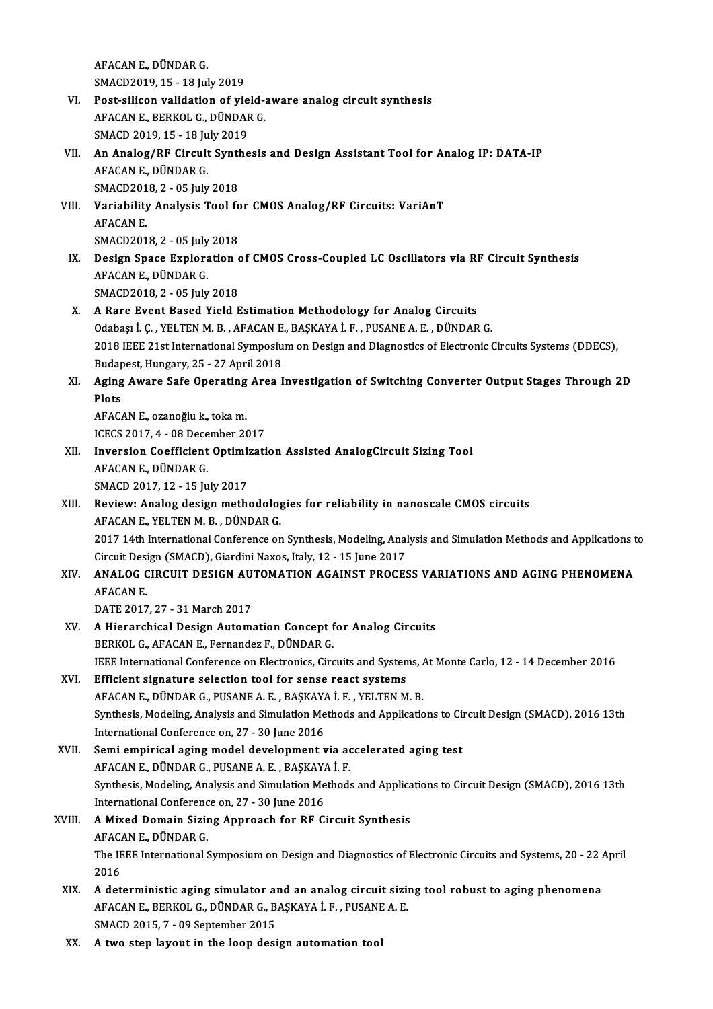AFACANE.,DÜNDARG. SMACD2019,15 -18 July2019

- AFACAN E., DÜNDAR G.<br>SMACD2019, 15 18 July 2019<br>VI. Post-silicon validation of yield-aware analog circuit synthesis<br>AFACAN E. BERKOL C. DÜNDAR C. SMACD2019, 15 - 18 July 2019<br>Post-silicon validation of yield-a<br>AFACAN E., BERKOL G., DÜNDAR G.<br>SMACD 2010, 15 - 19 July 2010 Post-silicon validation of yie<br>AFACAN E., BERKOL G., DÜNDAF<br>SMACD 2019, 15 - 18 July 2019<br>An Analog (BE Circuit Synthe AFACAN E., BERKOL G., DÜNDAR G.<br>SMACD 2019, 15 - 18 July 2019<br>VII. An Analog/RF Circuit Synthesis and Design Assistant Tool for Analog IP: DATA-IP<br>AFACAN E. DÜNDAR C
- SMACD 2019, 15 18 July 2019<br>An Analog/RF Circuit Synthe<br>AFACAN E., DÜNDAR G.<br>SMACD2018, 2 05 July 2018 An Analog/RF Circuit Synt<br>AFACAN E., DÜNDAR G.<br>SMACD2018, 2 - 05 July 2018<br>Verjability Analysis Teal fa AFACAN E., DÜNDAR G.<br>SMACD2018, 2 - 05 July 2018<br>VIII. Variability Analysis Tool for CMOS Analog/RF Circuits: VariAnT<br>AFACAN E
- SMACD201<br>Variability<br>AFACAN E.<br>SMACD201 Variability Analysis Tool fo<br>AFACAN E.<br>SMACD2018, 2 - 05 July 2018<br>Design Space Exploration c SMACD2018, 2 - 05 July 2018
- AFACAN E.<br>SMACD2018, 2 05 July 2018<br>IX. Design Space Exploration of CMOS Cross-Coupled LC Oscillators via RF Circuit Synthesis<br>AFACAN E., DÜNDAR G. SMACD2018,2 -05 July2018
- X. A Rare Event Based Yield Estimation Methodology for Analog Circuits SMACD2018, 2 - 05 July 2018<br>A Rare Event Based Yield Estimation Methodology for Analog Circuits<br>Odabaşı İ. Ç. , YELTEN M. B. , AFACAN E., BAŞKAYA İ. F. , PUSANE A. E. , DÜNDAR G.<br>2018 IEEE 21st International Symposium en D 2018 IEEE 21st International Symposium on Design and Diagnostics of Electronic Circuits Systems (DDECS), Budapest, Hungary, 25 - 27 April 2018 Odabaşı İ. Ç. , YELTEN M. B. , AFACAN E.<br>2018 IEEE 21st International Symposiu<br>Budapest, Hungary, 25 - 27 April 2018<br>Aging Ayyane Sofe Opensting Area I 2018 IEEE 21st International Symposium on Design and Diagnostics of Electronic Circuits Systems (DDECS),<br>Budapest, Hungary, 25 - 27 April 2018<br>XI. Aging Aware Safe Operating Area Investigation of Switching Converter Output

# **Budap<br>Aging<br>Plots** Aging Aware Safe Operating<br>Plots<br>AFACAN E., ozanoğlu k., toka m.<br>ICECS 2017 4... 08 Desember 20

Plots<br>AFACAN E., ozanoğlu k., toka m.<br>ICECS 2017, 4 - 08 December 2017

AFACAN E., ozanoğlu k., toka m.<br>ICECS 2017, 4 - 08 December 2017<br>XII. Inversion Coefficient Optimization Assisted AnalogCircuit Sizing Tool<br>AEACAN E. DÜNDAR C ICECS 2017, 4 - 08 Dece<br>Inversion Coefficient<br>AFACAN E., DÜNDAR G.<br>SMACD 2017-12 - 15 Iu Inversion Coefficient Optimi:<br>AFACAN E., DÜNDAR G.<br>SMACD 2017, 12 - 15 July 2017<br>Boviewy Analog design meth: AFACAN E., DÜNDAR G.<br>SMACD 2017, 12 - 15 July 2017<br>XIII. Review: Analog design methodologies for reliability in nanoscale CMOS circuits<br>AFACAN E. YELTEN M. B., DÜNDAR C.

# SMACD 2017, 12 - 15 July 2017<br>Review: Analog design methodolog<br>AFACAN E., YELTEN M. B. , DÜNDAR G.<br>2017 14th International Conference on AFACAN E., YELTEN M. B. , DÜNDAR G.<br>2017 14th International Conference on Synthesis, Modeling, Analysis and Simulation Methods and Applications to

AFACAN E., YELTEN M. B. , DÜNDAR G.<br>2017 14th International Conference on Synthesis, Modeling, Anal<br>Circuit Design (SMACD), Giardini Naxos, Italy, 12 - 15 June 2017<br>ANALOC CIRCUIT DESIGN AUTOMATION ACAINST BROCES

## XIV. ANALOG CIRCUIT DESIGN AUTOMATION AGAINST PROCESS VARIATIONS AND AGING PHENOMENA<br>AFACAN E. Circuit Desi<br>**ANALOG C**<br>AFACAN E.<br>DATE 2017

DATE2017,27 -31March 2017

AFACAN E.<br>DATE 2017, 27 - 31 March 2017<br>XV. A Hierarchical Design Automation Concept for Analog Circuits<br>RERVOL G AFACANE Fernander E. DÜNDAR G DATE 2017, 27 - 31 March 2017<br>A Hierarchical Design Automation Concept f<br>BERKOL G., AFACAN E., Fernandez F., DÜNDAR G.<br>IEEE International Conference on Electronics Circ A Hierarchical Design Automation Concept for Analog Circuits<br>BERKOL G., AFACAN E., Fernandez F., DÜNDAR G.<br>IEEE International Conference on Electronics, Circuits and Systems, At Monte Carlo, 12 - 14 December 2016<br>Efficient BERKOL G., AFACAN E., Fernandez F., DÜNDAR G.<br>IEEE International Conference on Electronics, Circuits and Systems, A<br>XVI. Efficient signature selection tool for sense react systems<br>AFACAN E., DÜNDAR G., PUSANE A. E., BAŞKAY

## IEEE International Conference on Electronics, Circuits and Systems, Analysis and Systems<br>Efficient signature selection tool for sense react systems<br>AFACAN E., DÜNDAR G., PUSANE A. E. , BAŞKAYA İ. F. , YELTEN M. B.<br>Synthesi Efficient signature selection tool for sense react systems<br>AFACAN E., DÜNDAR G., PUSANE A. E. , BAŞKAYA İ. F. , YELTEN M. B.<br>Synthesis, Modeling, Analysis and Simulation Methods and Applications to Circuit Design (SMACD), AFACAN E., DÜNDAR G., PUSANE A. E. , BAŞKAY.<br>Synthesis, Modeling, Analysis and Simulation Me<br>International Conference on, 27 - 30 June 2016<br>Semi empirical aging model develepment r Synthesis, Modeling, Analysis and Simulation Methods and Applications to Cin<br>International Conference on, 27 - 30 June 2016<br>XVII. Semi empirical aging model development via accelerated aging test<br>AEACANE DÜNDAP C BUSANEA E

### International Conference on, 27 - 30 June 2016<br>Semi empirical aging model development via ac<br>AFACAN E., DÜNDAR G., PUSANE A. E. , BAŞKAYA İ. F.<br>Synthesis Modeling, Analysis and Simulation Methods Semi empirical aging model development via accelerated aging test<br>AFACAN E., DÜNDAR G., PUSANE A. E. , BAŞKAYA İ. F.<br>Synthesis, Modeling, Analysis and Simulation Methods and Applications to Circuit Design (SMACD), 2016 13t AFACAN E., DÜNDAR G., PUSANE A. E. , BAŞKAY.<br>Synthesis, Modeling, Analysis and Simulation Me<br>International Conference on, 27 - 30 June 2016 International Conference on, 27 - 30 June 2016

### XVIII. A Mixed Domain Sizing Approach for RF Circuit Synthesis<br>AFACAN E. DÜNDAR G. A Mixed Domain Sizing Approach for RF Circuit Synthesis<br>AFACAN E., DÜNDAR G.<br>The IEEE International Symposium on Design and Diagnostics of Electronic Circuits and Systems, 20 - 22 April<br>2016 AFACA<br>The IE<br>2016 The IEEE International Symposium on Design and Diagnostics of Electronic Circuits and Systems, 20 - 22 /<br>2016<br>XIX. A deterministic aging simulator and an analog circuit sizing tool robust to aging phenomena<br>AEACAN E. BERKO

- 2016<br>A deterministic aging simulator and an analog circuit sizi:<br>AFACAN E., BERKOL G., DÜNDAR G., BAŞKAYA İ. F. , PUSANE A. E.<br>SMACD 2015, 7., 00 Sontamber 2015 A deterministic aging simulator an<br>AFACAN E., BERKOL G., DÜNDAR G., B.<br>SMACD 2015, 7 - 09 September 2015 AFACAN E., BERKOL G., DÜNDAR G., BAŞKAYA İ. F. , PUSANE A. E.<br>SMACD 2015, 7 - 09 September 2015<br>XX. A two step layout in the loop design automation tool
-